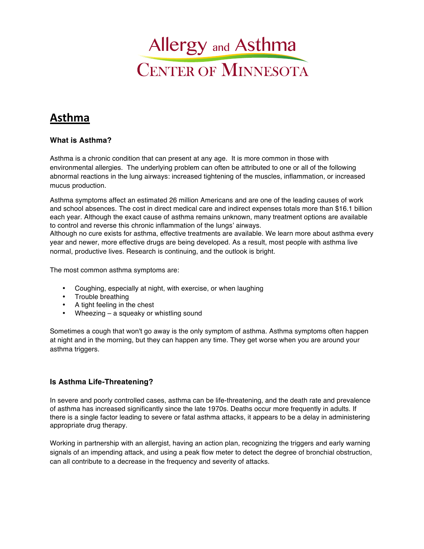

# **Asthma**

#### **What is Asthma?**

Asthma is a chronic condition that can present at any age. It is more common in those with environmental allergies. The underlying problem can often be attributed to one or all of the following abnormal reactions in the lung airways: increased tightening of the muscles, inflammation, or increased mucus production.

Asthma symptoms affect an estimated 26 million Americans and are one of the leading causes of work and school absences. The cost in direct medical care and indirect expenses totals more than \$16.1 billion each year. Although the exact cause of asthma remains unknown, many treatment options are available to control and reverse this chronic inflammation of the lungs' airways.

Although no cure exists for asthma, effective treatments are available. We learn more about asthma every year and newer, more effective drugs are being developed. As a result, most people with asthma live normal, productive lives. Research is continuing, and the outlook is bright.

The most common asthma symptoms are:

- Coughing, especially at night, with exercise, or when laughing
- Trouble breathing
- A tight feeling in the chest
- Wheezing a squeaky or whistling sound

Sometimes a cough that won't go away is the only symptom of asthma. Asthma symptoms often happen at night and in the morning, but they can happen any time. They get worse when you are around your asthma triggers.

#### **Is Asthma Life-Threatening?**

In severe and poorly controlled cases, asthma can be life-threatening, and the death rate and prevalence of asthma has increased significantly since the late 1970s. Deaths occur more frequently in adults. If there is a single factor leading to severe or fatal asthma attacks, it appears to be a delay in administering appropriate drug therapy.

Working in partnership with an allergist, having an action plan, recognizing the triggers and early warning signals of an impending attack, and using a peak flow meter to detect the degree of bronchial obstruction, can all contribute to a decrease in the frequency and severity of attacks.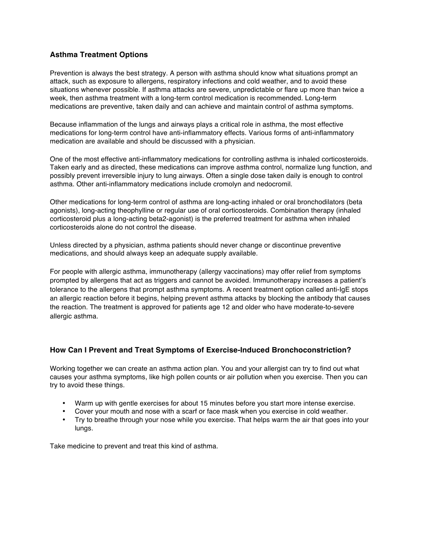### **Asthma Treatment Options**

Prevention is always the best strategy. A person with asthma should know what situations prompt an attack, such as exposure to allergens, respiratory infections and cold weather, and to avoid these situations whenever possible. If asthma attacks are severe, unpredictable or flare up more than twice a week, then asthma treatment with a long-term control medication is recommended. Long-term medications are preventive, taken daily and can achieve and maintain control of asthma symptoms.

Because inflammation of the lungs and airways plays a critical role in asthma, the most effective medications for long-term control have anti-inflammatory effects. Various forms of anti-inflammatory medication are available and should be discussed with a physician.

One of the most effective anti-inflammatory medications for controlling asthma is inhaled corticosteroids. Taken early and as directed, these medications can improve asthma control, normalize lung function, and possibly prevent irreversible injury to lung airways. Often a single dose taken daily is enough to control asthma. Other anti-inflammatory medications include cromolyn and nedocromil.

Other medications for long-term control of asthma are long-acting inhaled or oral bronchodilators (beta agonists), long-acting theophylline or regular use of oral corticosteroids. Combination therapy (inhaled corticosteroid plus a long-acting beta2-agonist) is the preferred treatment for asthma when inhaled corticosteroids alone do not control the disease.

Unless directed by a physician, asthma patients should never change or discontinue preventive medications, and should always keep an adequate supply available.

For people with allergic asthma, immunotherapy (allergy vaccinations) may offer relief from symptoms prompted by allergens that act as triggers and cannot be avoided. Immunotherapy increases a patient's tolerance to the allergens that prompt asthma symptoms. A recent treatment option called anti-IgE stops an allergic reaction before it begins, helping prevent asthma attacks by blocking the antibody that causes the reaction. The treatment is approved for patients age 12 and older who have moderate-to-severe allergic asthma.

### **How Can I Prevent and Treat Symptoms of Exercise-Induced Bronchoconstriction?**

Working together we can create an asthma action plan. You and your allergist can try to find out what causes your asthma symptoms, like high pollen counts or air pollution when you exercise. Then you can try to avoid these things.

- Warm up with gentle exercises for about 15 minutes before you start more intense exercise.
- Cover your mouth and nose with a scarf or face mask when you exercise in cold weather.
- Try to breathe through your nose while you exercise. That helps warm the air that goes into your lungs.

Take medicine to prevent and treat this kind of asthma.